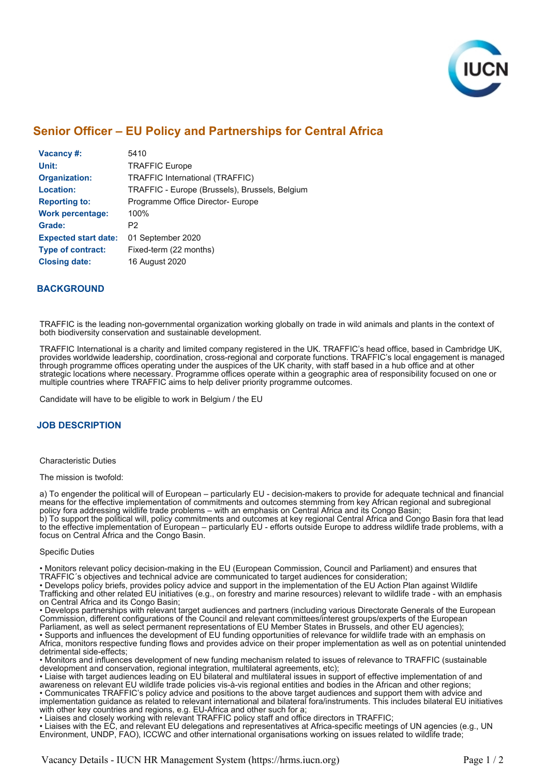

# **[Senior Officer – EU Policy and Partnerships for Central Africa](https://hrms.iucn.org/iresy/index.cfm?event=position.show&position_id=15814)**

| Vacancy #:                  | 5410                                           |
|-----------------------------|------------------------------------------------|
| Unit:                       | <b>TRAFFIC Europe</b>                          |
| <b>Organization:</b>        | <b>TRAFFIC International (TRAFFIC)</b>         |
| <b>Location:</b>            | TRAFFIC - Europe (Brussels), Brussels, Belgium |
| <b>Reporting to:</b>        | Programme Office Director- Europe              |
| <b>Work percentage:</b>     | 100%                                           |
| Grade:                      | P2                                             |
| <b>Expected start date:</b> | 01 September 2020                              |
| <b>Type of contract:</b>    | Fixed-term (22 months)                         |
| <b>Closing date:</b>        | 16 August 2020                                 |

## **BACKGROUND**

TRAFFIC is the leading non-governmental organization working globally on trade in wild animals and plants in the context of both biodiversity conservation and sustainable development.

TRAFFIC International is a charity and limited company registered in the UK. TRAFFIC's head office, based in Cambridge UK, provides worldwide leadership, coordination, cross-regional and corporate functions. TRAFFIC's local engagement is managed through programme offices operating under the auspices of the UK charity, with staff based in a hub office and at other strategic locations where necessary. Programme offices operate within a geographic area of responsibility focused on one or multiple countries where TRAFFIC aims to help deliver priority programme outcomes.

Candidate will have to be eligible to work in Belgium / the EU

### **JOB DESCRIPTION**

Characteristic Duties

The mission is twofold:

a) To engender the political will of European – particularly EU - decision-makers to provide for adequate technical and financial means for the effective implementation of commitments and outcomes stemming from key African regional and subregional policy fora addressing wildlife trade problems – with an emphasis on Central Africa and its Congo Basin; b) To support the political will, policy commitments and outcomes at key regional Central Africa and Congo Basin fora that lead to the effective implementation of European – particularly EU - efforts outside Europe to address wildlife trade problems, with a focus on Central Africa and the Congo Basin.

#### Specific Duties

• Monitors relevant policy decision-making in the EU (European Commission, Council and Parliament) and ensures that TRAFFIC´s objectives and technical advice are communicated to target audiences for consideration;

• Develops policy briefs, provides policy advice and support in the implementation of the EU Action Plan against Wildlife Trafficking and other related EU initiatives (e.g., on forestry and marine resources) relevant to wildlife trade - with an emphasis on Central Africa and its Congo Basin;

• Develops partnerships with relevant target audiences and partners (including various Directorate Generals of the European Commission, different configurations of the Council and relevant committees/interest groups/experts of the European Parliament, as well as select permanent representations of EU Member States in Brussels, and other EU agencies); • Supports and influences the development of EU funding opportunities of relevance for wildlife trade with an emphasis on Africa, monitors respective funding flows and provides advice on their proper implementation as well as on potential unintended

detrimental side-effects; • Monitors and influences development of new funding mechanism related to issues of relevance to TRAFFIC (sustainable development and conservation, regional integration, multilateral agreements, etc);

• Liaise with target audiences leading on EU bilateral and multilateral issues in support of effective implementation of and awareness on relevant EU wildlife trade policies vis-à-vis regional entities and bodies in the African and other regions; • Communicates TRAFFIC's policy advice and positions to the above target audiences and support them with advice and implementation guidance as related to relevant international and bilateral fora/instruments. This includes bilateral EU initiatives with other key countries and regions, e.g. EU-Africa and other such for a;

• Liaises and closely working with relevant TRAFFIC policy staff and office directors in TRAFFIC;

• Liaises with the EC, and relevant EU delegations and representatives at Africa-specific meetings of UN agencies (e.g., UN Environment, UNDP, FAO), ICCWC and other international organisations working on issues related to wildlife trade;